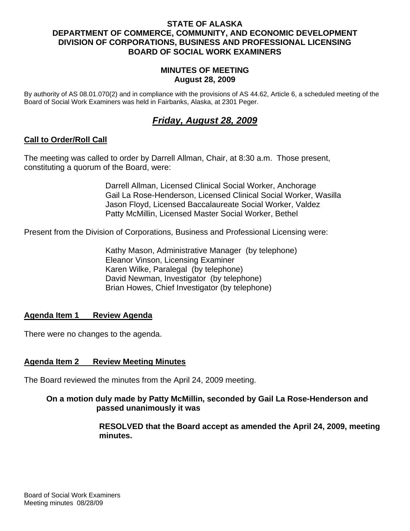### **STATE OF ALASKA DEPARTMENT OF COMMERCE, COMMUNITY, AND ECONOMIC DEVELOPMENT DIVISION OF CORPORATIONS, BUSINESS AND PROFESSIONAL LICENSING BOARD OF SOCIAL WORK EXAMINERS**

#### **MINUTES OF MEETING August 28, 2009**

By authority of AS 08.01.070(2) and in compliance with the provisions of AS 44.62, Article 6, a scheduled meeting of the Board of Social Work Examiners was held in Fairbanks, Alaska, at 2301 Peger.

# *Friday, August 28, 2009*

### **Call to Order/Roll Call**

The meeting was called to order by Darrell Allman, Chair, at 8:30 a.m. Those present, constituting a quorum of the Board, were:

> Darrell Allman, Licensed Clinical Social Worker, Anchorage Gail La Rose-Henderson, Licensed Clinical Social Worker, Wasilla Jason Floyd, Licensed Baccalaureate Social Worker, Valdez Patty McMillin, Licensed Master Social Worker, Bethel

Present from the Division of Corporations, Business and Professional Licensing were:

 Kathy Mason, Administrative Manager (by telephone) Eleanor Vinson, Licensing Examiner Karen Wilke, Paralegal (by telephone) David Newman, Investigator (by telephone) Brian Howes, Chief Investigator (by telephone)

### **Agenda Item 1 Review Agenda**

There were no changes to the agenda.

### **Agenda Item 2 Review Meeting Minutes**

The Board reviewed the minutes from the April 24, 2009 meeting.

### **On a motion duly made by Patty McMillin, seconded by Gail La Rose-Henderson and passed unanimously it was**

 **RESOLVED that the Board accept as amended the April 24, 2009, meeting minutes.**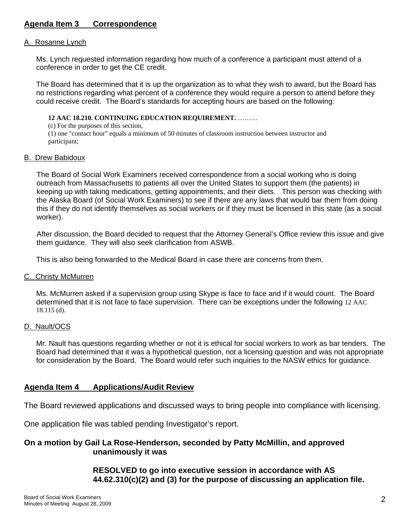## **Agenda Item 3 Correspondence**

#### A. Rosanne Lynch

 Ms. Lynch requested information regarding how much of a conference a participant must attend of a conference in order to get the CE credit.

 The Board has determined that it is up the organization as to what they wish to award, but the Board has no restrictions regarding what percent of a conference they would require a person to attend before they could receive credit. The Board's standards for accepting hours are based on the following:

#### **12 AAC 18.210. CONTINUING EDUCATION REQUIREMENT.** ………

(c) For the purposes of this section,

(1) one "contact hour" equals a minimum of 50 minutes of classroom instruction between instructor and participant;

#### B. Drew Babidoux

The Board of Social Work Examiners received correspondence from a social working who is doing outreach from Massachusetts to patients all over the United States to support them (the patients) in keeping up with taking medications, getting appointments, and their diets. This person was checking with the Alaska Board (of Social Work Examiners) to see if there are any laws that would bar them from doing this if they do not identify themselves as social workers or if they must be licensed in this state (as a social worker).

After discussion, the Board decided to request that the Attorney General's Office review this issue and give them guidance. They will also seek clarification from ASWB.

This is also being forwarded to the Medical Board in case there are concerns from them.

#### C. Christy McMurren

Ms. McMurren asked if a supervision group using Skype is face to face and if it would count. The Board determined that it is not face to face supervision. There can be exceptions under the following 12 AAC 18.115 (d).

#### D. Nault/OCS

Mr. Nault has questions regarding whether or not it is ethical for social workers to work as bar tenders. The Board had determined that it was a hypothetical question, not a licensing question and was not appropriate for consideration by the Board. The Board would refer such inquiries to the NASW ethics for guidance.

### **Agenda Item 4 Applications/Audit Review**

The Board reviewed applications and discussed ways to bring people into compliance with licensing.

One application file was tabled pending Investigator's report.

#### **On a motion by Gail La Rose-Henderson, seconded by Patty McMillin, and approved unanimously it was**

 **RESOLVED to go into executive session in accordance with AS 44.62.310(c)(2) and (3) for the purpose of discussing an application file.**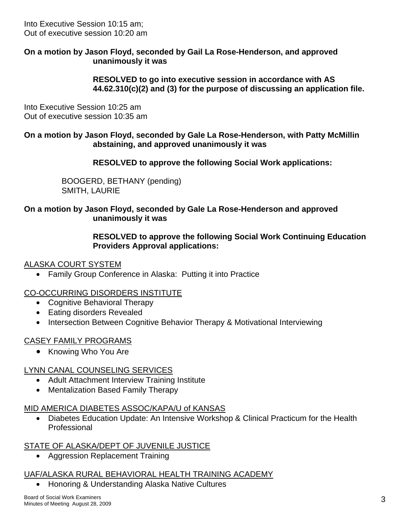Into Executive Session 10:15 am; Out of executive session 10:20 am

### **On a motion by Jason Floyd, seconded by Gail La Rose-Henderson, and approved unanimously it was**

 **RESOLVED to go into executive session in accordance with AS 44.62.310(c)(2) and (3) for the purpose of discussing an application file.** 

Into Executive Session 10:25 am Out of executive session 10:35 am

### **On a motion by Jason Floyd, seconded by Gale La Rose-Henderson, with Patty McMillin abstaining, and approved unanimously it was**

 **RESOLVED to approve the following Social Work applications:** 

BOOGERD, BETHANY (pending) SMITH, LAURIE

### **On a motion by Jason Floyd, seconded by Gale La Rose-Henderson and approved unanimously it was**

### **RESOLVED to approve the following Social Work Continuing Education Providers Approval applications:**

### ALASKA COURT SYSTEM

• Family Group Conference in Alaska: Putting it into Practice

## CO-OCCURRING DISORDERS INSTITUTE

- Cognitive Behavioral Therapy
- Eating disorders Revealed
- Intersection Between Cognitive Behavior Therapy & Motivational Interviewing

## CASEY FAMILY PROGRAMS

• Knowing Who You Are

## LYNN CANAL COUNSELING SERVICES

- Adult Attachment Interview Training Institute
- Mentalization Based Family Therapy

## MID AMERICA DIABETES ASSOC/KAPA/U of KANSAS

• Diabetes Education Update: An Intensive Workshop & Clinical Practicum for the Health Professional

## STATE OF ALASKA/DEPT OF JUVENILE JUSTICE

• Aggression Replacement Training

## UAF/ALASKA RURAL BEHAVIORAL HEALTH TRAINING ACADEMY

• Honoring & Understanding Alaska Native Cultures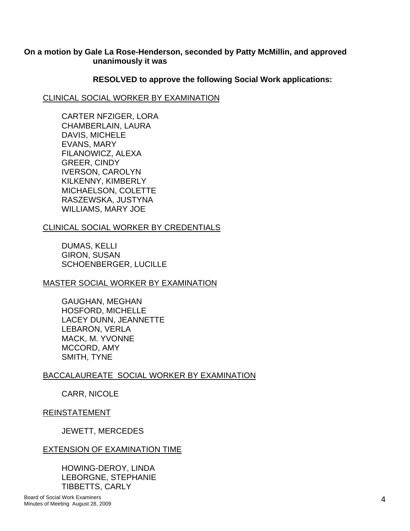### **On a motion by Gale La Rose-Henderson, seconded by Patty McMillin, and approved unanimously it was**

#### **RESOLVED to approve the following Social Work applications:**

#### CLINICAL SOCIAL WORKER BY EXAMINATION

CARTER NFZIGER, LORA CHAMBERLAIN, LAURA DAVIS, MICHELE EVANS, MARY FILANOWICZ, ALEXA GREER, CINDY IVERSON, CAROLYN KILKENNY, KIMBERLY MICHAELSON, COLETTE RASZEWSKA, JUSTYNA WILLIAMS, MARY JOE

### CLINICAL SOCIAL WORKER BY CREDENTIALS

DUMAS, KELLI GIRON, SUSAN SCHOENBERGER, LUCILLE

### MASTER SOCIAL WORKER BY EXAMINATION

GAUGHAN, MEGHAN HOSFORD, MICHELLE LACEY DUNN, JEANNETTE LEBARON, VERLA MACK, M. YVONNE MCCORD, AMY SMITH, TYNE

## BACCALAUREATE SOCIAL WORKER BY EXAMINATION

CARR, NICOLE

### REINSTATEMENT

JEWETT, MERCEDES

### EXTENSION OF EXAMINATION TIME

HOWING-DEROY, LINDA LEBORGNE, STEPHANIE TIBBETTS, CARLY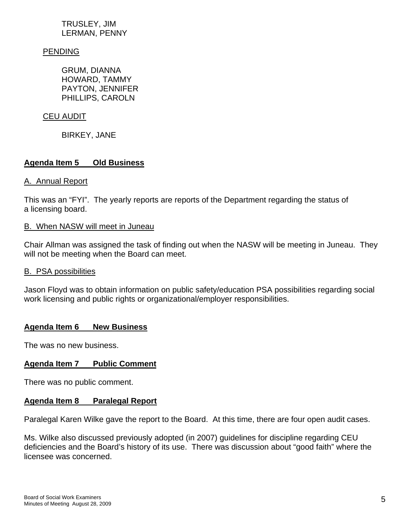### TRUSLEY, JIM LERMAN, PENNY

### PENDING

GRUM, DIANNA HOWARD, TAMMY PAYTON, JENNIFER PHILLIPS, CAROLN

#### CEU AUDIT

BIRKEY, JANE

### **Agenda Item 5 Old Business**

#### A. Annual Report

This was an "FYI". The yearly reports are reports of the Department regarding the status of a licensing board.

#### B. When NASW will meet in Juneau

Chair Allman was assigned the task of finding out when the NASW will be meeting in Juneau. They will not be meeting when the Board can meet.

#### B. PSA possibilities

Jason Floyd was to obtain information on public safety/education PSA possibilities regarding social work licensing and public rights or organizational/employer responsibilities.

### **Agenda Item 6 New Business**

The was no new business.

### **Agenda Item 7 Public Comment**

There was no public comment.

#### **Agenda Item 8 Paralegal Report**

Paralegal Karen Wilke gave the report to the Board. At this time, there are four open audit cases.

Ms. Wilke also discussed previously adopted (in 2007) guidelines for discipline regarding CEU deficiencies and the Board's history of its use. There was discussion about "good faith" where the licensee was concerned.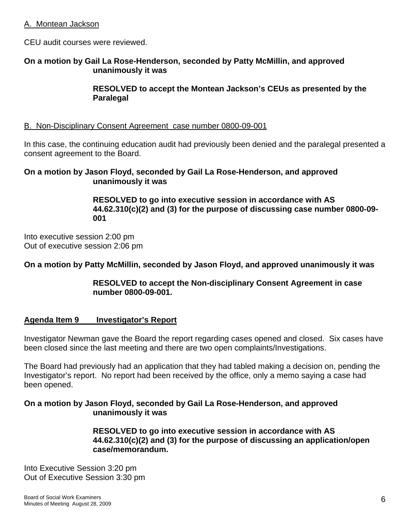#### A. Montean Jackson

CEU audit courses were reviewed.

#### **On a motion by Gail La Rose-Henderson, seconded by Patty McMillin, and approved unanimously it was**

 **RESOLVED to accept the Montean Jackson's CEUs as presented by the Paralegal**

#### B. Non-Disciplinary Consent Agreement case number 0800-09-001

In this case, the continuing education audit had previously been denied and the paralegal presented a consent agreement to the Board.

#### **On a motion by Jason Floyd, seconded by Gail La Rose-Henderson, and approved unanimously it was**

 **RESOLVED to go into executive session in accordance with AS 44.62.310(c)(2) and (3) for the purpose of discussing case number 0800-09- 001** 

Into executive session 2:00 pm Out of executive session 2:06 pm

### **On a motion by Patty McMillin, seconded by Jason Floyd, and approved unanimously it was**

### **RESOLVED to accept the Non-disciplinary Consent Agreement in case number 0800-09-001.**

### **Agenda Item 9 Investigator's Report**

Investigator Newman gave the Board the report regarding cases opened and closed. Six cases have been closed since the last meeting and there are two open complaints/Investigations.

The Board had previously had an application that they had tabled making a decision on, pending the Investigator's report. No report had been received by the office, only a memo saying a case had been opened.

### **On a motion by Jason Floyd, seconded by Gail La Rose-Henderson, and approved unanimously it was**

 **RESOLVED to go into executive session in accordance with AS 44.62.310(c)(2) and (3) for the purpose of discussing an application/open case/memorandum.** 

Into Executive Session 3:20 pm Out of Executive Session 3:30 pm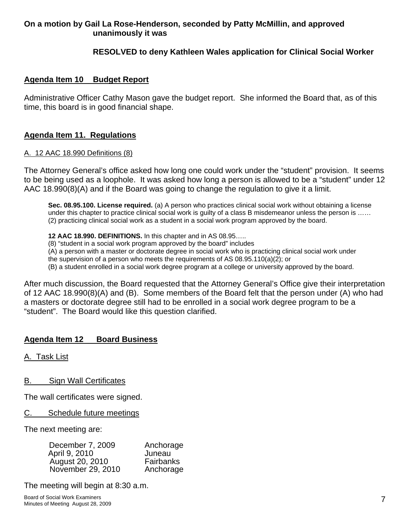## **On a motion by Gail La Rose-Henderson, seconded by Patty McMillin, and approved unanimously it was**

### **RESOLVED to deny Kathleen Wales application for Clinical Social Worker**

#### **Agenda Item 10 Budget Report**

Administrative Officer Cathy Mason gave the budget report. She informed the Board that, as of this time, this board is in good financial shape.

### **Agenda Item 11. Regulations**

#### A. 12 AAC 18.990 Definitions (8)

The Attorney General's office asked how long one could work under the "student" provision. It seems to be being used as a loophole. It was asked how long a person is allowed to be a "student" under 12 AAC 18.990(8)(A) and if the Board was going to change the regulation to give it a limit.

**Sec. 08.95.100. License required.** (a) A person who practices clinical social work without obtaining a license under this chapter to practice clinical social work is guilty of a class B misdemeanor unless the person is ...... (2) practicing clinical social work as a student in a social work program approved by the board.

**12 AAC 18.990. DEFINITIONS.** In this chapter and in AS 08.95…..

(8) "student in a social work program approved by the board" includes

(A) a person with a master or doctorate degree in social work who is practicing clinical social work under

the supervision of a person who meets the requirements of AS 08.95.110(a)(2); or

(B) a student enrolled in a social work degree program at a college or university approved by the board.

After much discussion, the Board requested that the Attorney General's Office give their interpretation of 12 AAC 18.990(8)(A) and (B). Some members of the Board felt that the person under (A) who had a masters or doctorate degree still had to be enrolled in a social work degree program to be a "student". The Board would like this question clarified.

### **Agenda Item 12 Board Business**

A. Task List

B. Sign Wall Certificates

The wall certificates were signed.

C. Schedule future meetings

The next meeting are:

| December 7, 2009  | Anchorage |
|-------------------|-----------|
| April 9, 2010     | Juneau    |
| August 20, 2010   | Fairbanks |
| November 29, 2010 | Anchorage |

The meeting will begin at 8:30 a.m.